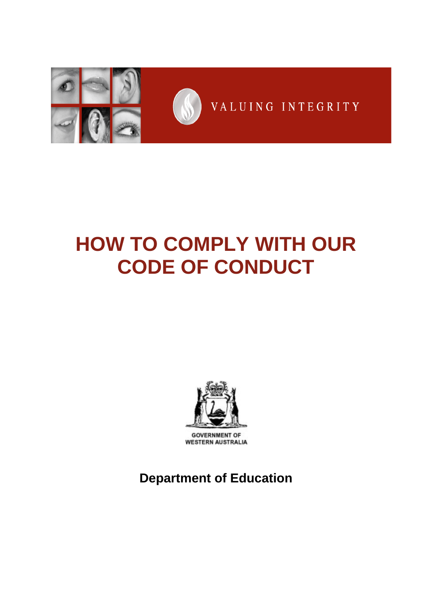

# **HOW TO COMPLY WITH OUR CODE OF CONDUCT**



**GOVERNMENT OF WESTERN AUSTRALIA** 

**Department of Education**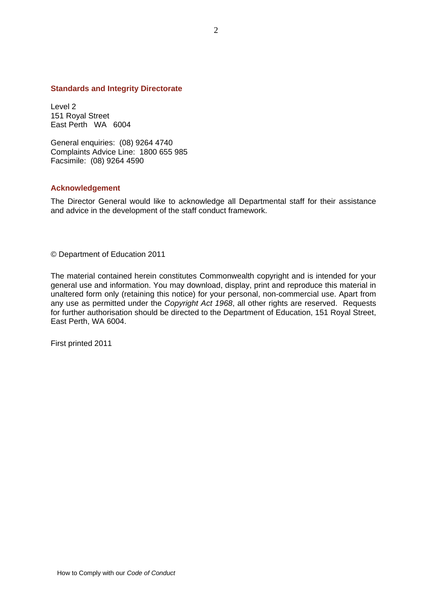#### **Standards and Integrity Directorate**

Level 2 151 Royal Street East Perth WA 6004

General enquiries: (08) 9264 4740 Complaints Advice Line: 1800 655 985 Facsimile: (08) 9264 4590

#### **Acknowledgement**

The Director General would like to acknowledge all Departmental staff for their assistance and advice in the development of the staff conduct framework.

© Department of Education 2011

The material contained herein constitutes Commonwealth copyright and is intended for your general use and information. You may download, display, print and reproduce this material in unaltered form only (retaining this notice) for your personal, non-commercial use. Apart from any use as permitted under the *Copyright Act 1968*, all other rights are reserved. Requests for further authorisation should be directed to the Department of Education, 151 Royal Street, East Perth, WA 6004.

First printed 2011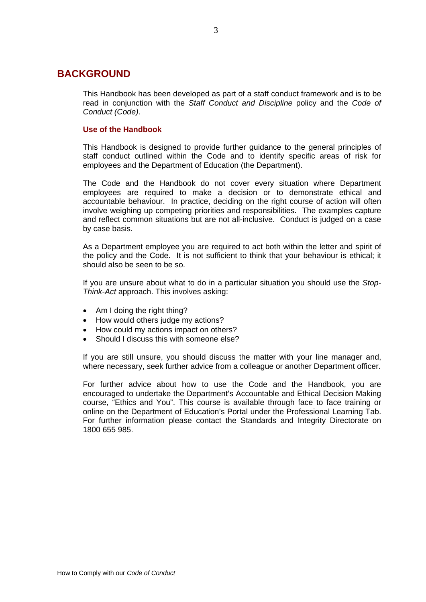# **BACKGROUND**

This Handbook has been developed as part of a staff conduct framework and is to be read in conjunction with the *Staff Conduct and Discipline* policy and the *Code of Conduct (Code)*.

## **Use of the Handbook**

This Handbook is designed to provide further guidance to the general principles of staff conduct outlined within the Code and to identify specific areas of risk for employees and the Department of Education (the Department).

The Code and the Handbook do not cover every situation where Department employees are required to make a decision or to demonstrate ethical and accountable behaviour. In practice, deciding on the right course of action will often involve weighing up competing priorities and responsibilities. The examples capture and reflect common situations but are not all-inclusive. Conduct is judged on a case by case basis.

As a Department employee you are required to act both within the letter and spirit of the policy and the Code. It is not sufficient to think that your behaviour is ethical; it should also be seen to be so.

If you are unsure about what to do in a particular situation you should use the *Stop-Think-Act* approach. This involves asking:

- Am I doing the right thing?
- How would others judge my actions?
- How could my actions impact on others?
- Should I discuss this with someone else?

If you are still unsure, you should discuss the matter with your line manager and, where necessary, seek further advice from a colleague or another Department officer.

For further advice about how to use the Code and the Handbook, you are encouraged to undertake the Department's Accountable and Ethical Decision Making course, "Ethics and You". This course is available through face to face training or online on the Department of Education's Portal under the Professional Learning Tab. For further information please contact the Standards and Integrity Directorate on 1800 655 985.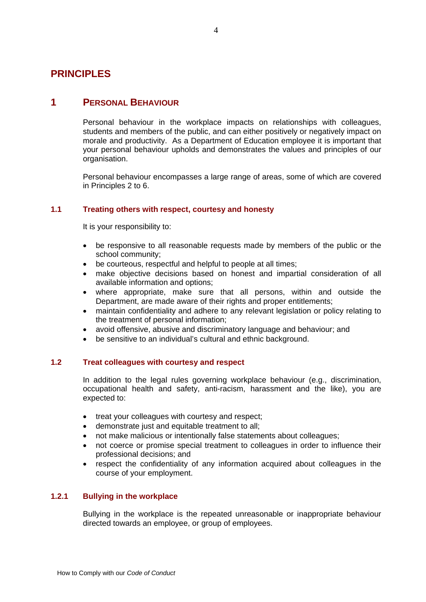# **PRINCIPLES**

# **1 PERSONAL BEHAVIOUR**

Personal behaviour in the workplace impacts on relationships with colleagues, students and members of the public, and can either positively or negatively impact on morale and productivity. As a Department of Education employee it is important that your personal behaviour upholds and demonstrates the values and principles of our organisation.

Personal behaviour encompasses a large range of areas, some of which are covered in Principles 2 to 6.

## **1.1 Treating others with respect, courtesy and honesty**

It is your responsibility to:

- be responsive to all reasonable requests made by members of the public or the school community;
- be courteous, respectful and helpful to people at all times;
- make objective decisions based on honest and impartial consideration of all available information and options;
- where appropriate, make sure that all persons, within and outside the Department, are made aware of their rights and proper entitlements;
- maintain confidentiality and adhere to any relevant legislation or policy relating to the treatment of personal information;
- avoid offensive, abusive and discriminatory language and behaviour; and
- be sensitive to an individual's cultural and ethnic background.

# **1.2 Treat colleagues with courtesy and respect**

In addition to the legal rules governing workplace behaviour (e.g., discrimination, occupational health and safety, anti-racism, harassment and the like), you are expected to:

- treat your colleagues with courtesy and respect;
- demonstrate just and equitable treatment to all;
- not make malicious or intentionally false statements about colleagues;
- not coerce or promise special treatment to colleagues in order to influence their professional decisions; and
- respect the confidentiality of any information acquired about colleagues in the course of your employment.

# **1.2.1 Bullying in the workplace**

Bullying in the workplace is the repeated unreasonable or inappropriate behaviour directed towards an employee, or group of employees.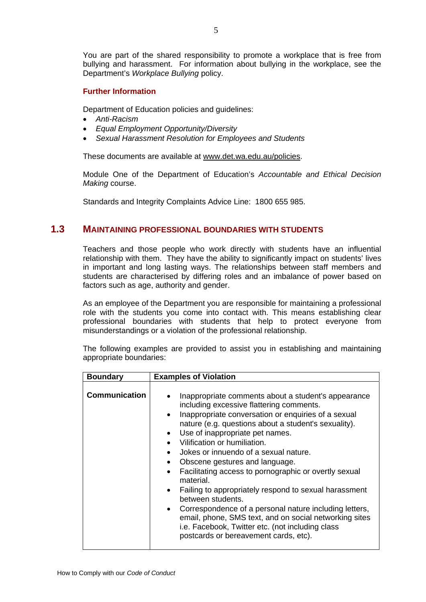You are part of the shared responsibility to promote a workplace that is free from bullying and harassment. For information about bullying in the workplace, see the Department's *Workplace Bullying* policy.

# **Further Information**

Department of Education policies and guidelines:

- *Anti-Racism*
- *Equal Employment Opportunity/Diversity*
- *Sexual Harassment Resolution for Employees and Students*

These documents are available at www.det.wa.edu.au/policies.

Module One of the Department of Education's *Accountable and Ethical Decision Making* course.

Standards and Integrity Complaints Advice Line: 1800 655 985.

# **1.3 MAINTAINING PROFESSIONAL BOUNDARIES WITH STUDENTS**

Teachers and those people who work directly with students have an influential relationship with them. They have the ability to significantly impact on students' lives in important and long lasting ways. The relationships between staff members and students are characterised by differing roles and an imbalance of power based on factors such as age, authority and gender.

As an employee of the Department you are responsible for maintaining a professional role with the students you come into contact with. This means establishing clear professional boundaries with students that help to protect everyone from misunderstandings or a violation of the professional relationship.

The following examples are provided to assist you in establishing and maintaining appropriate boundaries:

| <b>Boundary</b>      | <b>Examples of Violation</b>                                                                                                                                                                                                                                                                                                                                                                                                                                                                                                                                                                                                                                                                                                                                                                                                                           |
|----------------------|--------------------------------------------------------------------------------------------------------------------------------------------------------------------------------------------------------------------------------------------------------------------------------------------------------------------------------------------------------------------------------------------------------------------------------------------------------------------------------------------------------------------------------------------------------------------------------------------------------------------------------------------------------------------------------------------------------------------------------------------------------------------------------------------------------------------------------------------------------|
| <b>Communication</b> | Inappropriate comments about a student's appearance<br>$\bullet$<br>including excessive flattering comments.<br>Inappropriate conversation or enquiries of a sexual<br>$\bullet$<br>nature (e.g. questions about a student's sexuality).<br>Use of inappropriate pet names.<br>$\bullet$<br>Vilification or humiliation.<br>$\bullet$<br>Jokes or innuendo of a sexual nature.<br>$\bullet$<br>Obscene gestures and language.<br>$\bullet$<br>Facilitating access to pornographic or overtly sexual<br>$\bullet$<br>material.<br>Failing to appropriately respond to sexual harassment<br>$\bullet$<br>between students.<br>Correspondence of a personal nature including letters,<br>$\bullet$<br>email, phone, SMS text, and on social networking sites<br>i.e. Facebook, Twitter etc. (not including class<br>postcards or bereavement cards, etc). |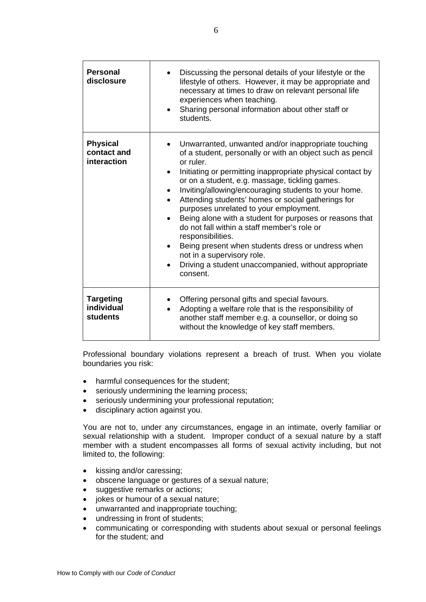| <b>Personal</b><br>disclosure                     | Discussing the personal details of your lifestyle or the<br>lifestyle of others. However, it may be appropriate and<br>necessary at times to draw on relevant personal life<br>experiences when teaching.<br>Sharing personal information about other staff or<br>$\bullet$<br>students.                                                                                                                                                                                                                                                                                                                                                                                                                              |
|---------------------------------------------------|-----------------------------------------------------------------------------------------------------------------------------------------------------------------------------------------------------------------------------------------------------------------------------------------------------------------------------------------------------------------------------------------------------------------------------------------------------------------------------------------------------------------------------------------------------------------------------------------------------------------------------------------------------------------------------------------------------------------------|
| <b>Physical</b><br>contact and<br>interaction     | Unwarranted, unwanted and/or inappropriate touching<br>of a student, personally or with an object such as pencil<br>or ruler.<br>Initiating or permitting inappropriate physical contact by<br>$\bullet$<br>or on a student, e.g. massage, tickling games.<br>Inviting/allowing/encouraging students to your home.<br>Attending students' homes or social gatherings for<br>purposes unrelated to your employment.<br>Being alone with a student for purposes or reasons that<br>do not fall within a staff member's role or<br>responsibilities.<br>Being present when students dress or undress when<br>$\bullet$<br>not in a supervisory role.<br>Driving a student unaccompanied, without appropriate<br>consent. |
| <b>Targeting</b><br>individual<br><b>students</b> | Offering personal gifts and special favours.<br>Adopting a welfare role that is the responsibility of<br>another staff member e.g. a counsellor, or doing so<br>without the knowledge of key staff members.                                                                                                                                                                                                                                                                                                                                                                                                                                                                                                           |

Professional boundary violations represent a breach of trust. When you violate boundaries you risk:

- harmful consequences for the student;
- seriously undermining the learning process;
- seriously undermining your professional reputation;
- disciplinary action against you.

You are not to, under any circumstances, engage in an intimate, overly familiar or sexual relationship with a student. Improper conduct of a sexual nature by a staff member with a student encompasses all forms of sexual activity including, but not limited to, the following:

- kissing and/or caressing;
- obscene language or gestures of a sexual nature;
- suggestive remarks or actions;
- jokes or humour of a sexual nature;
- unwarranted and inappropriate touching;
- undressing in front of students;
- communicating or corresponding with students about sexual or personal feelings for the student; and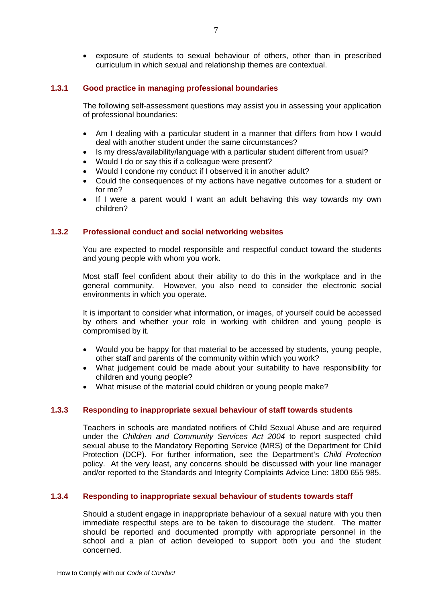• exposure of students to sexual behaviour of others, other than in prescribed curriculum in which sexual and relationship themes are contextual.

## **1.3.1 Good practice in managing professional boundaries**

The following self-assessment questions may assist you in assessing your application of professional boundaries:

- Am I dealing with a particular student in a manner that differs from how I would deal with another student under the same circumstances?
- Is my dress/availability/language with a particular student different from usual?
- Would I do or say this if a colleague were present?
- Would I condone my conduct if I observed it in another adult?
- Could the consequences of my actions have negative outcomes for a student or for me?
- If I were a parent would I want an adult behaving this way towards my own children?

## **1.3.2 Professional conduct and social networking websites**

You are expected to model responsible and respectful conduct toward the students and young people with whom you work.

Most staff feel confident about their ability to do this in the workplace and in the general community. However, you also need to consider the electronic social environments in which you operate.

It is important to consider what information, or images, of yourself could be accessed by others and whether your role in working with children and young people is compromised by it.

- Would you be happy for that material to be accessed by students, young people, other staff and parents of the community within which you work?
- What judgement could be made about your suitability to have responsibility for children and young people?
- What misuse of the material could children or young people make?

#### **1.3.3 Responding to inappropriate sexual behaviour of staff towards students**

Teachers in schools are mandated notifiers of Child Sexual Abuse and are required under the *Children and Community Services Act 2004* to report suspected child sexual abuse to the Mandatory Reporting Service (MRS) of the Department for Child Protection (DCP). For further information, see the Department's *Child Protection* policy. At the very least, any concerns should be discussed with your line manager and/or reported to the Standards and Integrity Complaints Advice Line: 1800 655 985.

# **1.3.4 Responding to inappropriate sexual behaviour of students towards staff**

Should a student engage in inappropriate behaviour of a sexual nature with you then immediate respectful steps are to be taken to discourage the student. The matter should be reported and documented promptly with appropriate personnel in the school and a plan of action developed to support both you and the student concerned.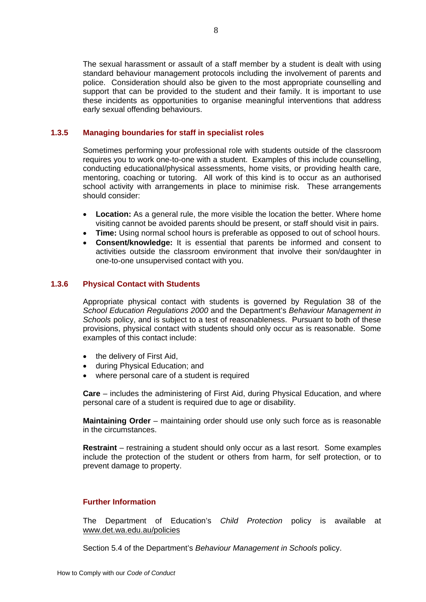The sexual harassment or assault of a staff member by a student is dealt with using standard behaviour management protocols including the involvement of parents and police. Consideration should also be given to the most appropriate counselling and support that can be provided to the student and their family. It is important to use these incidents as opportunities to organise meaningful interventions that address early sexual offending behaviours.

## **1.3.5 Managing boundaries for staff in specialist roles**

Sometimes performing your professional role with students outside of the classroom requires you to work one-to-one with a student. Examples of this include counselling, conducting educational/physical assessments, home visits, or providing health care, mentoring, coaching or tutoring. All work of this kind is to occur as an authorised school activity with arrangements in place to minimise risk. These arrangements should consider:

- **Location:** As a general rule, the more visible the location the better. Where home visiting cannot be avoided parents should be present, or staff should visit in pairs.
- **Time:** Using normal school hours is preferable as opposed to out of school hours.
- **Consent/knowledge:** It is essential that parents be informed and consent to activities outside the classroom environment that involve their son/daughter in one-to-one unsupervised contact with you.

## **1.3.6 Physical Contact with Students**

Appropriate physical contact with students is governed by Regulation 38 of the *School Education Regulations 2000* and the Department's *Behaviour Management in Schools* policy, and is subject to a test of reasonableness. Pursuant to both of these provisions, physical contact with students should only occur as is reasonable. Some examples of this contact include:

- the delivery of First Aid,
- during Physical Education; and
- where personal care of a student is required

**Care** – includes the administering of First Aid, during Physical Education, and where personal care of a student is required due to age or disability.

**Maintaining Order** – maintaining order should use only such force as is reasonable in the circumstances.

**Restraint** – restraining a student should only occur as a last resort. Some examples include the protection of the student or others from harm, for self protection, or to prevent damage to property.

# **Further Information**

The Department of Education's *Child Protection* policy is available at www.det.wa.edu.au/policies

Section 5.4 of the Department's *Behaviour Management in Schools* policy.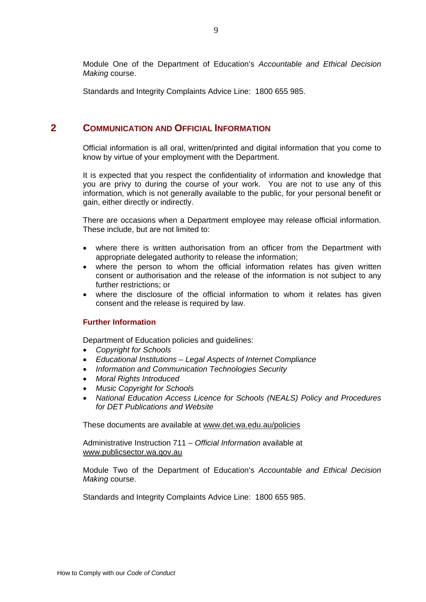Module One of the Department of Education's *Accountable and Ethical Decision Making* course.

Standards and Integrity Complaints Advice Line: 1800 655 985.

# **2 COMMUNICATION AND OFFICIAL INFORMATION**

Official information is all oral, written/printed and digital information that you come to know by virtue of your employment with the Department.

It is expected that you respect the confidentiality of information and knowledge that you are privy to during the course of your work. You are not to use any of this information, which is not generally available to the public, for your personal benefit or gain, either directly or indirectly.

There are occasions when a Department employee may release official information. These include, but are not limited to:

- where there is written authorisation from an officer from the Department with appropriate delegated authority to release the information;
- where the person to whom the official information relates has given written consent or authorisation and the release of the information is not subject to any further restrictions; or
- where the disclosure of the official information to whom it relates has given consent and the release is required by law.

#### **Further Information**

Department of Education policies and guidelines:

- *Copyright for Schools*
- *Educational Institutions Legal Aspects of Internet Compliance*
- *Information and Communication Technologies Security*
- *Moral Rights Introduced*
- *Music Copyright for Schools*
- *National Education Access Licence for Schools (NEALS) Policy and Procedures for DET Publications and Website*

These documents are available at www.det.wa.edu.au/policies

Administrative Instruction 711 – *Official Information* available at www.publicsector.wa.gov.au

Module Two of the Department of Education's *Accountable and Ethical Decision Making* course.

Standards and Integrity Complaints Advice Line: 1800 655 985.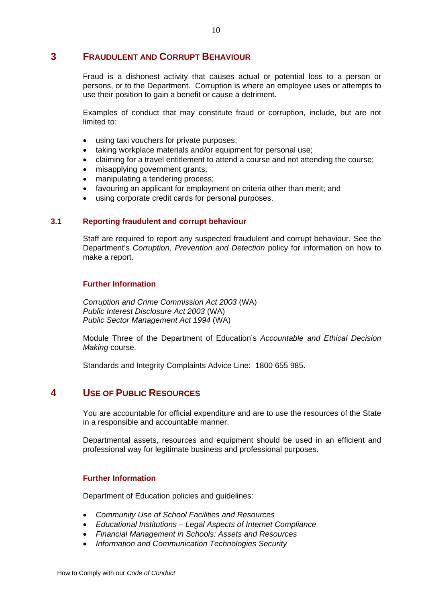# **3 FRAUDULENT AND CORRUPT BEHAVIOUR**

Fraud is a dishonest activity that causes actual or potential loss to a person or persons, or to the Department. Corruption is where an employee uses or attempts to use their position to gain a benefit or cause a detriment.

Examples of conduct that may constitute fraud or corruption, include, but are not limited to:

- using taxi vouchers for private purposes;
- taking workplace materials and/or equipment for personal use;
- claiming for a travel entitlement to attend a course and not attending the course;
- misapplying government grants;
- manipulating a tendering process;
- favouring an applicant for employment on criteria other than merit; and
- using corporate credit cards for personal purposes.

#### **3.1 Reporting fraudulent and corrupt behaviour**

Staff are required to report any suspected fraudulent and corrupt behaviour. See the Department's *Corruption, Prevention and Detection* policy for information on how to make a report.

#### **Further Information**

*Corruption and Crime Commission Act 2003* (WA) *Public Interest Disclosure Act 2003* (WA) *Public Sector Management Act 1994* (WA)

Module Three of the Department of Education's *Accountable and Ethical Decision Making* course.

Standards and Integrity Complaints Advice Line: 1800 655 985.

# **4 USE OF PUBLIC RESOURCES**

You are accountable for official expenditure and are to use the resources of the State in a responsible and accountable manner.

Departmental assets, resources and equipment should be used in an efficient and professional way for legitimate business and professional purposes.

#### **Further Information**

Department of Education policies and guidelines:

- *Community Use of School Facilities and Resources*
- *Educational Institutions Legal Aspects of Internet Compliance*
- *Financial Management in Schools: Assets and Resources*
- *Information and Communication Technologies Security*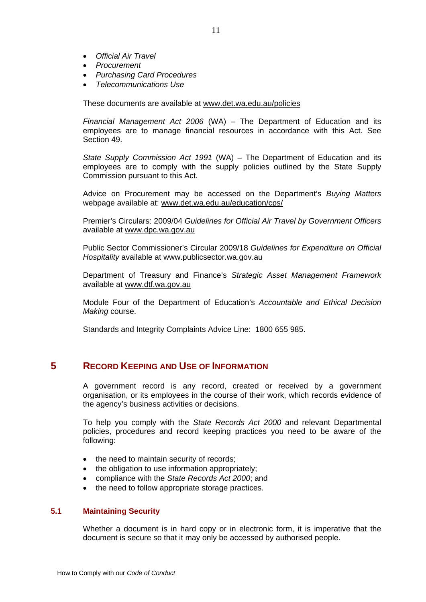- *Official Air Travel*
- *Procurement*
- *Purchasing Card Procedures*
- *Telecommunications Use*

These documents are available at www.det.wa.edu.au/policies

*Financial Management Act 2006* (WA) – The Department of Education and its employees are to manage financial resources in accordance with this Act. See Section 49.

*State Supply Commission Act 1991* (WA) – The Department of Education and its employees are to comply with the supply policies outlined by the State Supply Commission pursuant to this Act.

Advice on Procurement may be accessed on the Department's *Buying Matters*  webpage available at: www.det.wa.edu.au/education/cps/

Premier's Circulars: 2009/04 *Guidelines for Official Air Travel by Government Officers* available at www.dpc.wa.gov.au

Public Sector Commissioner's Circular 2009/18 *Guidelines for Expenditure on Official Hospitality* available at www.publicsector.wa.gov.au

Department of Treasury and Finance's *Strategic Asset Management Framework*  available at www.dtf.wa.gov.au

Module Four of the Department of Education's *Accountable and Ethical Decision Making* course.

Standards and Integrity Complaints Advice Line: 1800 655 985.

# **5 RECORD KEEPING AND USE OF INFORMATION**

A government record is any record, created or received by a government organisation, or its employees in the course of their work, which records evidence of the agency's business activities or decisions.

To help you comply with the *State Records Act 2000* and relevant Departmental policies, procedures and record keeping practices you need to be aware of the following:

- the need to maintain security of records:
- the obligation to use information appropriately;
- compliance with the *State Records Act 2000*; and
- the need to follow appropriate storage practices.

## **5.1 Maintaining Security**

Whether a document is in hard copy or in electronic form, it is imperative that the document is secure so that it may only be accessed by authorised people.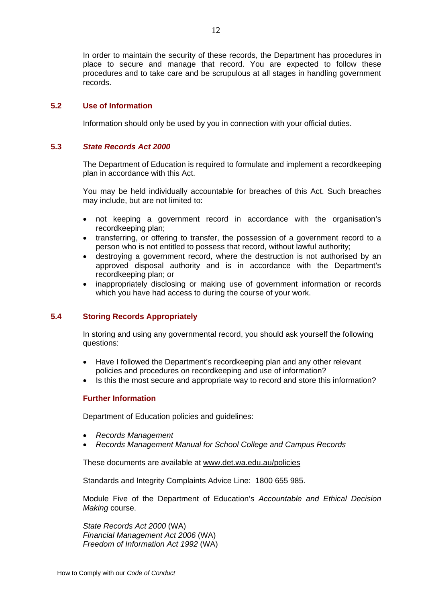In order to maintain the security of these records, the Department has procedures in place to secure and manage that record. You are expected to follow these procedures and to take care and be scrupulous at all stages in handling government records.

#### **5.2 Use of Information**

Information should only be used by you in connection with your official duties.

## **5.3** *State Records Act 2000*

The Department of Education is required to formulate and implement a recordkeeping plan in accordance with this Act.

You may be held individually accountable for breaches of this Act. Such breaches may include, but are not limited to:

- not keeping a government record in accordance with the organisation's recordkeeping plan;
- transferring, or offering to transfer, the possession of a government record to a person who is not entitled to possess that record, without lawful authority;
- destroying a government record, where the destruction is not authorised by an approved disposal authority and is in accordance with the Department's recordkeeping plan; or
- inappropriately disclosing or making use of government information or records which you have had access to during the course of your work.

# **5.4 Storing Records Appropriately**

In storing and using any governmental record, you should ask yourself the following questions:

- Have I followed the Department's recordkeeping plan and any other relevant policies and procedures on recordkeeping and use of information?
- Is this the most secure and appropriate way to record and store this information?

# **Further Information**

Department of Education policies and guidelines:

- *Records Management*
- *Records Management Manual for School College and Campus Records*

These documents are available at www.det.wa.edu.au/policies

Standards and Integrity Complaints Advice Line: 1800 655 985.

Module Five of the Department of Education's *Accountable and Ethical Decision Making* course.

*State Records Act 2000* (WA) *Financial Management Act 2006* (WA) *Freedom of Information Act 1992* (WA)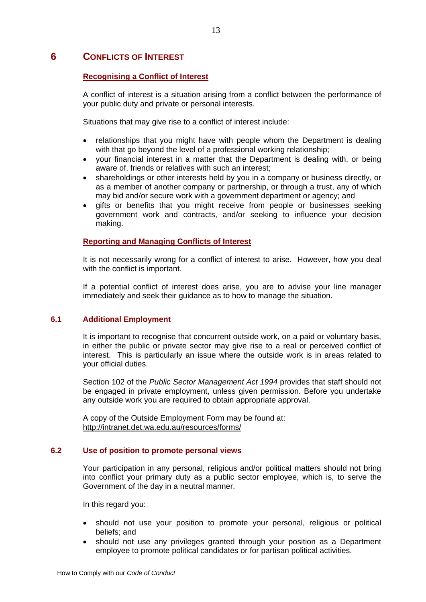# **6 CONFLICTS OF INTEREST**

# **Recognising a Conflict of Interest**

A conflict of interest is a situation arising from a conflict between the performance of your public duty and private or personal interests.

Situations that may give rise to a conflict of interest include:

- relationships that you might have with people whom the Department is dealing with that go beyond the level of a professional working relationship;
- your financial interest in a matter that the Department is dealing with, or being aware of, friends or relatives with such an interest;
- shareholdings or other interests held by you in a company or business directly, or as a member of another company or partnership, or through a trust, any of which may bid and/or secure work with a government department or agency; and
- gifts or benefits that you might receive from people or businesses seeking government work and contracts, and/or seeking to influence your decision making.

## **Reporting and Managing Conflicts of Interest**

It is not necessarily wrong for a conflict of interest to arise. However, how you deal with the conflict is important.

If a potential conflict of interest does arise, you are to advise your line manager immediately and seek their guidance as to how to manage the situation.

# **6.1 Additional Employment**

It is important to recognise that concurrent outside work, on a paid or voluntary basis, in either the public or private sector may give rise to a real or perceived conflict of interest. This is particularly an issue where the outside work is in areas related to your official duties.

Section 102 of the *Public Sector Management Act 1994* provides that staff should not be engaged in private employment, unless given permission. Before you undertake any outside work you are required to obtain appropriate approval.

A copy of the Outside Employment Form may be found at: http://intranet.det.wa.edu.au/resources/forms/

#### **6.2 Use of position to promote personal views**

Your participation in any personal, religious and/or political matters should not bring into conflict your primary duty as a public sector employee, which is, to serve the Government of the day in a neutral manner.

In this regard you:

- should not use your position to promote your personal, religious or political beliefs; and
- should not use any privileges granted through your position as a Department employee to promote political candidates or for partisan political activities.